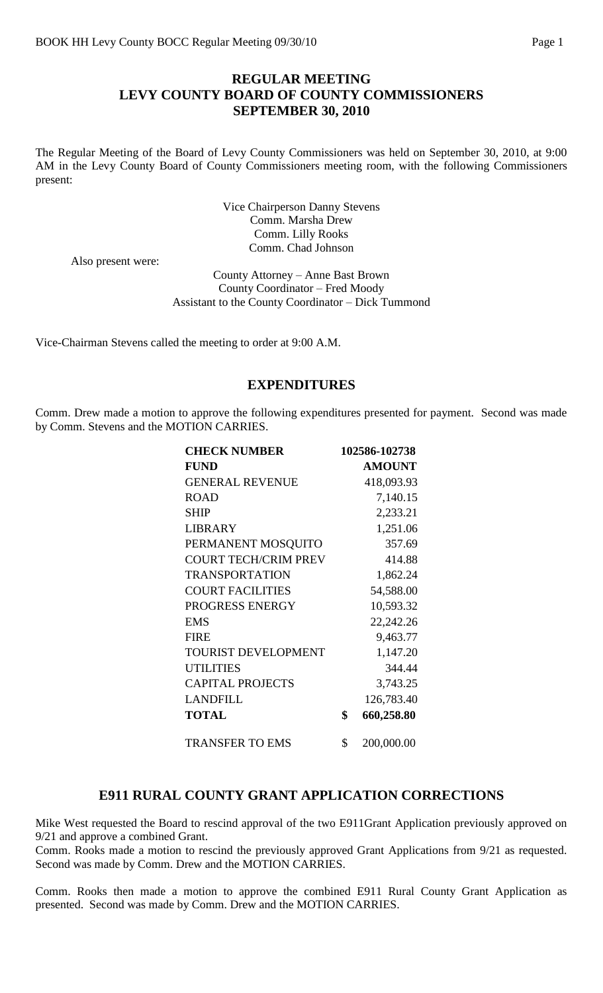### **REGULAR MEETING LEVY COUNTY BOARD OF COUNTY COMMISSIONERS SEPTEMBER 30, 2010**

The Regular Meeting of the Board of Levy County Commissioners was held on September 30, 2010, at 9:00 AM in the Levy County Board of County Commissioners meeting room, with the following Commissioners present:

> Vice Chairperson Danny Stevens Comm. Marsha Drew Comm. Lilly Rooks Comm. Chad Johnson

Also present were:

County Attorney – Anne Bast Brown County Coordinator – Fred Moody Assistant to the County Coordinator – Dick Tummond

Vice-Chairman Stevens called the meeting to order at 9:00 A.M.

#### **EXPENDITURES**

Comm. Drew made a motion to approve the following expenditures presented for payment. Second was made by Comm. Stevens and the MOTION CARRIES.

| <b>CHECK NUMBER</b>         | 102586-102738    |
|-----------------------------|------------------|
| <b>FUND</b>                 | <b>AMOUNT</b>    |
| <b>GENERAL REVENUE</b>      | 418,093.93       |
| <b>ROAD</b>                 | 7,140.15         |
| <b>SHIP</b>                 | 2,233.21         |
| <b>LIBRARY</b>              | 1,251.06         |
| PERMANENT MOSQUITO          | 357.69           |
| <b>COURT TECH/CRIM PREV</b> | 414.88           |
| <b>TRANSPORTATION</b>       | 1,862.24         |
| <b>COURT FACILITIES</b>     | 54,588.00        |
| PROGRESS ENERGY             | 10,593.32        |
| <b>EMS</b>                  | 22,242.26        |
| <b>FIRE</b>                 | 9,463.77         |
| <b>TOURIST DEVELOPMENT</b>  | 1,147.20         |
| <b>UTILITIES</b>            | 344.44           |
| <b>CAPITAL PROJECTS</b>     | 3,743.25         |
| <b>LANDFILL</b>             | 126,783.40       |
| <b>TOTAL</b>                | \$<br>660,258.80 |
| <b>TRANSFER TO EMS</b>      | \$<br>200,000.00 |

#### **E911 RURAL COUNTY GRANT APPLICATION CORRECTIONS**

Mike West requested the Board to rescind approval of the two E911Grant Application previously approved on 9/21 and approve a combined Grant.

Comm. Rooks made a motion to rescind the previously approved Grant Applications from 9/21 as requested. Second was made by Comm. Drew and the MOTION CARRIES.

Comm. Rooks then made a motion to approve the combined E911 Rural County Grant Application as presented. Second was made by Comm. Drew and the MOTION CARRIES.